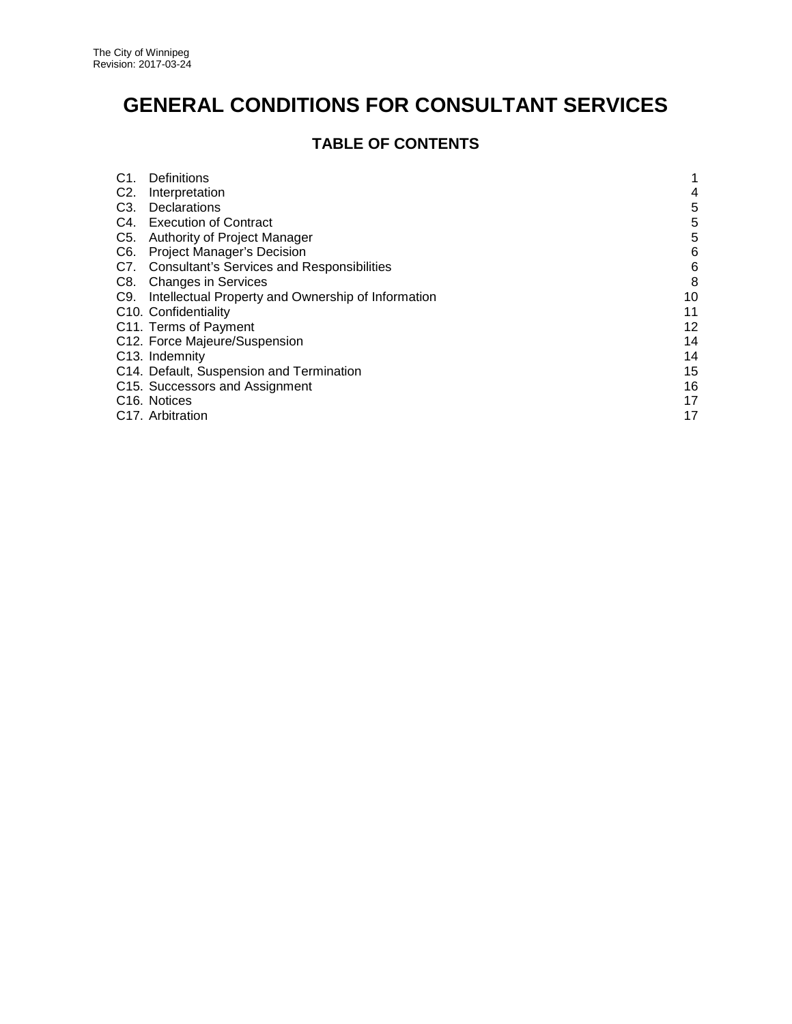# **GENERAL CONDITIONS FOR CONSULTANT SERVICES**

# **TABLE OF CONTENTS**

| C <sub>1</sub>   | <b>Definitions</b>                                 |    |
|------------------|----------------------------------------------------|----|
| C2.              | Interpretation                                     | 4  |
| C <sub>3</sub> . | Declarations                                       | 5  |
|                  | C4. Execution of Contract                          | 5  |
| C <sub>5</sub> . | Authority of Project Manager                       | 5  |
| C6.              | <b>Project Manager's Decision</b>                  | 6  |
| C7.              | <b>Consultant's Services and Responsibilities</b>  | 6  |
| C8.              | <b>Changes in Services</b>                         | 8  |
| C9.              | Intellectual Property and Ownership of Information | 10 |
|                  | C <sub>10</sub> . Confidentiality                  | 11 |
|                  | C11. Terms of Payment                              | 12 |
|                  | C12. Force Majeure/Suspension                      | 14 |
|                  | C <sub>13</sub> . Indemnity                        | 14 |
|                  | C14. Default, Suspension and Termination           | 15 |
|                  | C15. Successors and Assignment                     | 16 |
|                  | C <sub>16</sub> . Notices                          | 17 |
|                  | C17. Arbitration                                   | 17 |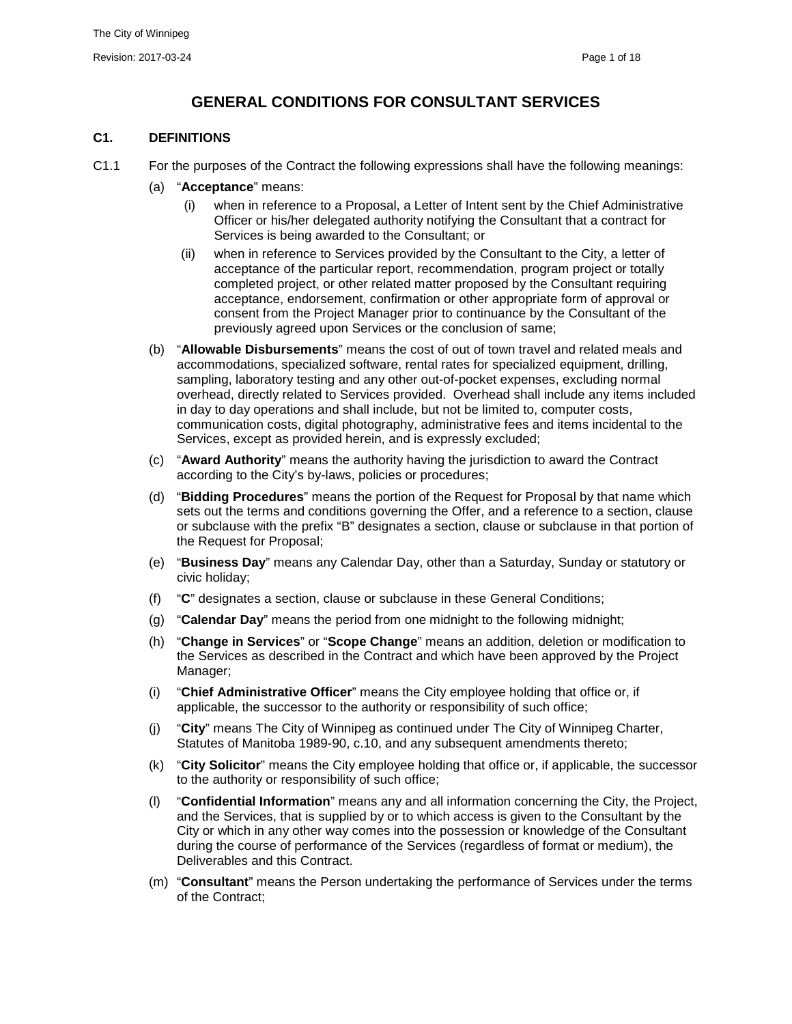# **GENERAL CONDITIONS FOR CONSULTANT SERVICES**

#### <span id="page-1-0"></span>**C1. DEFINITIONS**

- C1.1 For the purposes of the Contract the following expressions shall have the following meanings:
	- (a) "**Acceptance**" means:
		- (i) when in reference to a Proposal, a Letter of Intent sent by the Chief Administrative Officer or his/her delegated authority notifying the Consultant that a contract for Services is being awarded to the Consultant; or
		- (ii) when in reference to Services provided by the Consultant to the City, a letter of acceptance of the particular report, recommendation, program project or totally completed project, or other related matter proposed by the Consultant requiring acceptance, endorsement, confirmation or other appropriate form of approval or consent from the Project Manager prior to continuance by the Consultant of the previously agreed upon Services or the conclusion of same;
	- (b) "**Allowable Disbursements**" means the cost of out of town travel and related meals and accommodations, specialized software, rental rates for specialized equipment, drilling, sampling, laboratory testing and any other out-of-pocket expenses, excluding normal overhead, directly related to Services provided. Overhead shall include any items included in day to day operations and shall include, but not be limited to, computer costs, communication costs, digital photography, administrative fees and items incidental to the Services, except as provided herein, and is expressly excluded;
	- (c) "**Award Authority**" means the authority having the jurisdiction to award the Contract according to the City's by-laws, policies or procedures;
	- (d) "**Bidding Procedures**" means the portion of the Request for Proposal by that name which sets out the terms and conditions governing the Offer, and a reference to a section, clause or subclause with the prefix "B" designates a section, clause or subclause in that portion of the Request for Proposal;
	- (e) "**Business Day**" means any Calendar Day, other than a Saturday, Sunday or statutory or civic holiday;
	- (f) "**C**" designates a section, clause or subclause in these General Conditions;
	- (g) "**Calendar Day**" means the period from one midnight to the following midnight;
	- (h) "**Change in Services**" or "**Scope Change**" means an addition, deletion or modification to the Services as described in the Contract and which have been approved by the Project Manager;
	- (i) "**Chief Administrative Officer**" means the City employee holding that office or, if applicable, the successor to the authority or responsibility of such office;
	- (j) "**City**" means The City of Winnipeg as continued under The City of Winnipeg Charter, Statutes of Manitoba 1989-90, c.10, and any subsequent amendments thereto;
	- (k) "**City Solicitor**" means the City employee holding that office or, if applicable, the successor to the authority or responsibility of such office;
	- (l) "**Confidential Information**" means any and all information concerning the City, the Project, and the Services, that is supplied by or to which access is given to the Consultant by the City or which in any other way comes into the possession or knowledge of the Consultant during the course of performance of the Services (regardless of format or medium), the Deliverables and this Contract.
	- (m) "**Consultant**" means the Person undertaking the performance of Services under the terms of the Contract;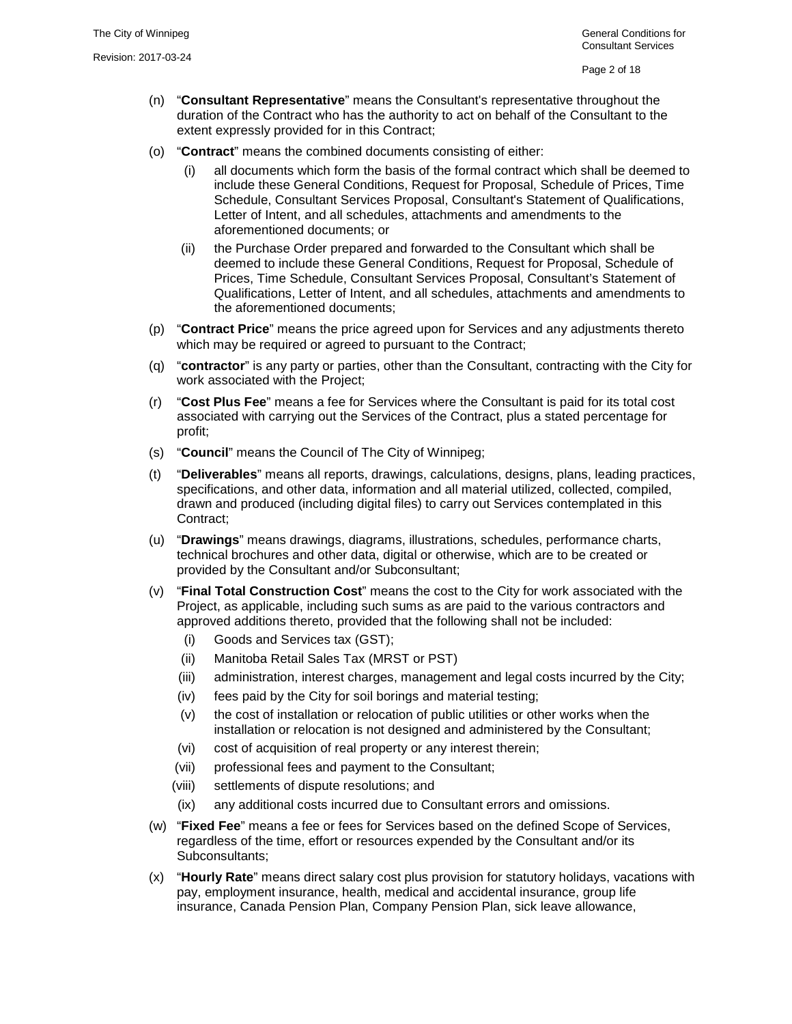- (n) "**Consultant Representative**" means the Consultant's representative throughout the duration of the Contract who has the authority to act on behalf of the Consultant to the extent expressly provided for in this Contract;
- <span id="page-2-0"></span>(o) "**Contract**" means the combined documents consisting of either:
	- (i) all documents which form the basis of the formal contract which shall be deemed to include these General Conditions, Request for Proposal, Schedule of Prices, Time Schedule, Consultant Services Proposal, Consultant's Statement of Qualifications, Letter of Intent, and all schedules, attachments and amendments to the aforementioned documents; or
	- (ii) the Purchase Order prepared and forwarded to the Consultant which shall be deemed to include these General Conditions, Request for Proposal, Schedule of Prices, Time Schedule, Consultant Services Proposal, Consultant's Statement of Qualifications, Letter of Intent, and all schedules, attachments and amendments to the aforementioned documents;
- (p) "**Contract Price**" means the price agreed upon for Services and any adjustments thereto which may be required or agreed to pursuant to the Contract;
- (q) "**contractor**" is any party or parties, other than the Consultant, contracting with the City for work associated with the Project;
- (r) "**Cost Plus Fee**" means a fee for Services where the Consultant is paid for its total cost associated with carrying out the Services of the Contract, plus a stated percentage for profit;
- (s) "**Council**" means the Council of The City of Winnipeg;
- (t) "**Deliverables**" means all reports, drawings, calculations, designs, plans, leading practices, specifications, and other data, information and all material utilized, collected, compiled, drawn and produced (including digital files) to carry out Services contemplated in this Contract;
- (u) "**Drawings**" means drawings, diagrams, illustrations, schedules, performance charts, technical brochures and other data, digital or otherwise, which are to be created or provided by the Consultant and/or Subconsultant;
- (v) "**Final Total Construction Cost**" means the cost to the City for work associated with the Project, as applicable, including such sums as are paid to the various contractors and approved additions thereto, provided that the following shall not be included:
	- (i) Goods and Services tax (GST);
	- (ii) Manitoba Retail Sales Tax (MRST or PST)
	- (iii) administration, interest charges, management and legal costs incurred by the City;
	- (iv) fees paid by the City for soil borings and material testing;
	- (v) the cost of installation or relocation of public utilities or other works when the installation or relocation is not designed and administered by the Consultant;
	- (vi) cost of acquisition of real property or any interest therein;
	- (vii) professional fees and payment to the Consultant;
	- (viii) settlements of dispute resolutions; and
	- (ix) any additional costs incurred due to Consultant errors and omissions.
- (w) "**Fixed Fee**" means a fee or fees for Services based on the defined Scope of Services, regardless of the time, effort or resources expended by the Consultant and/or its Subconsultants;
- (x) "**Hourly Rate**" means direct salary cost plus provision for statutory holidays, vacations with pay, employment insurance, health, medical and accidental insurance, group life insurance, Canada Pension Plan, Company Pension Plan, sick leave allowance,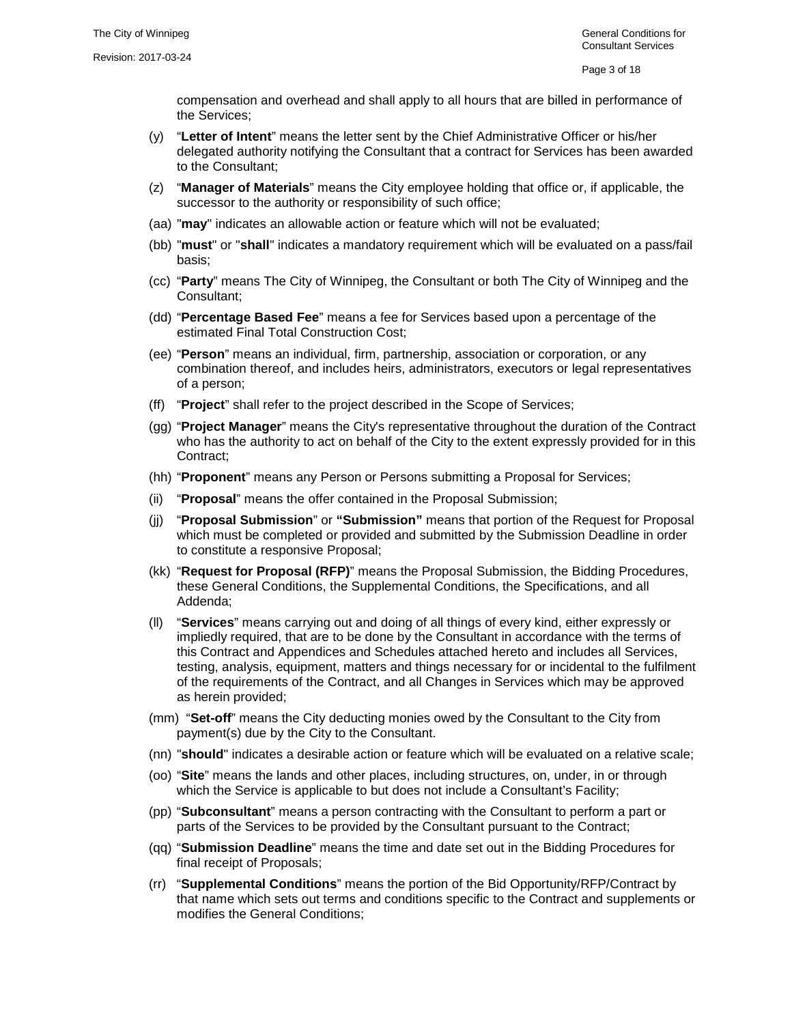compensation and overhead and shall apply to all hours that are billed in performance of the Services;

- (y) "**Letter of Intent**" means the letter sent by the Chief Administrative Officer or his/her delegated authority notifying the Consultant that a contract for Services has been awarded to the Consultant;
- (z) "**Manager of Materials**" means the City employee holding that office or, if applicable, the successor to the authority or responsibility of such office;
- (aa) "**may**" indicates an allowable action or feature which will not be evaluated;
- (bb) "**must**" or "**shall**" indicates a mandatory requirement which will be evaluated on a pass/fail basis;
- (cc) "**Party**" means The City of Winnipeg, the Consultant or both The City of Winnipeg and the Consultant;
- (dd) "**Percentage Based Fee**" means a fee for Services based upon a percentage of the estimated Final Total Construction Cost;
- (ee) "**Person**" means an individual, firm, partnership, association or corporation, or any combination thereof, and includes heirs, administrators, executors or legal representatives of a person;
- (ff) "**Project**" shall refer to the project described in the Scope of Services;
- (gg) "**Project Manager**" means the City's representative throughout the duration of the Contract who has the authority to act on behalf of the City to the extent expressly provided for in this Contract;
- (hh) "**Proponent**" means any Person or Persons submitting a Proposal for Services;
- (ii) "**Proposal**" means the offer contained in the Proposal Submission;
- (jj) "**Proposal Submission**" or **"Submission"** means that portion of the Request for Proposal which must be completed or provided and submitted by the Submission Deadline in order to constitute a responsive Proposal;
- (kk) "**Request for Proposal (RFP)**" means the Proposal Submission, the Bidding Procedures, these General Conditions, the Supplemental Conditions, the Specifications, and all Addenda;
- (ll) "**Services**" means carrying out and doing of all things of every kind, either expressly or impliedly required, that are to be done by the Consultant in accordance with the terms of this Contract and Appendices and Schedules attached hereto and includes all Services, testing, analysis, equipment, matters and things necessary for or incidental to the fulfilment of the requirements of the Contract, and all Changes in Services which may be approved as herein provided;
- (mm) "**Set-off**" means the City deducting monies owed by the Consultant to the City from payment(s) due by the City to the Consultant.
- (nn) "**should**" indicates a desirable action or feature which will be evaluated on a relative scale;
- (oo) "**Site**" means the lands and other places, including structures, on, under, in or through which the Service is applicable to but does not include a Consultant's Facility;
- (pp) "**Subconsultant**" means a person contracting with the Consultant to perform a part or parts of the Services to be provided by the Consultant pursuant to the Contract;
- (qq) "**Submission Deadline**" means the time and date set out in the Bidding Procedures for final receipt of Proposals;
- (rr) "**Supplemental Conditions**" means the portion of the Bid Opportunity/RFP/Contract by that name which sets out terms and conditions specific to the Contract and supplements or modifies the General Conditions;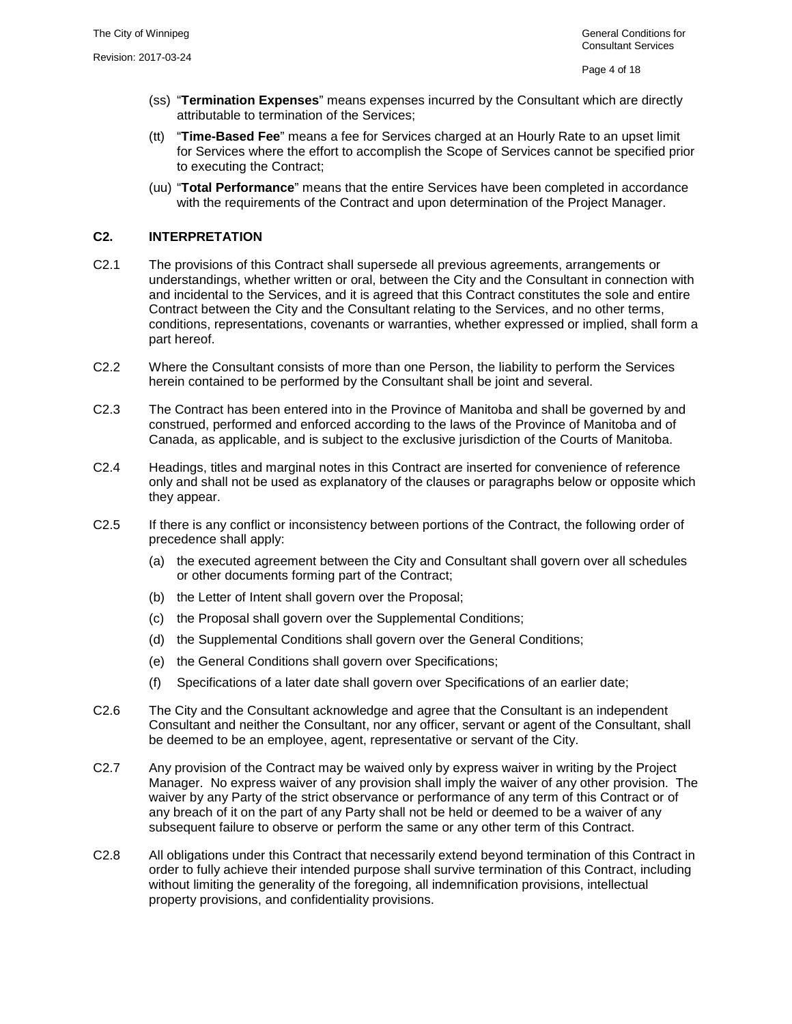- <span id="page-4-1"></span>(ss) "**Termination Expenses**" means expenses incurred by the Consultant which are directly attributable to termination of the Services;
- (tt) "**Time-Based Fee**" means a fee for Services charged at an Hourly Rate to an upset limit for Services where the effort to accomplish the Scope of Services cannot be specified prior to executing the Contract;
- (uu) "**Total Performance**" means that the entire Services have been completed in accordance with the requirements of the Contract and upon determination of the Project Manager.

# <span id="page-4-0"></span>**C2. INTERPRETATION**

- C2.1 The provisions of this Contract shall supersede all previous agreements, arrangements or understandings, whether written or oral, between the City and the Consultant in connection with and incidental to the Services, and it is agreed that this Contract constitutes the sole and entire Contract between the City and the Consultant relating to the Services, and no other terms, conditions, representations, covenants or warranties, whether expressed or implied, shall form a part hereof.
- C2.2 Where the Consultant consists of more than one Person, the liability to perform the Services herein contained to be performed by the Consultant shall be joint and several.
- C2.3 The Contract has been entered into in the Province of Manitoba and shall be governed by and construed, performed and enforced according to the laws of the Province of Manitoba and of Canada, as applicable, and is subject to the exclusive jurisdiction of the Courts of Manitoba.
- C2.4 Headings, titles and marginal notes in this Contract are inserted for convenience of reference only and shall not be used as explanatory of the clauses or paragraphs below or opposite which they appear.
- C2.5 If there is any conflict or inconsistency between portions of the Contract, the following order of precedence shall apply:
	- (a) the executed agreement between the City and Consultant shall govern over all schedules or other documents forming part of the Contract;
	- (b) the Letter of Intent shall govern over the Proposal;
	- (c) the Proposal shall govern over the Supplemental Conditions;
	- (d) the Supplemental Conditions shall govern over the General Conditions;
	- (e) the General Conditions shall govern over Specifications;
	- (f) Specifications of a later date shall govern over Specifications of an earlier date;
- C2.6 The City and the Consultant acknowledge and agree that the Consultant is an independent Consultant and neither the Consultant, nor any officer, servant or agent of the Consultant, shall be deemed to be an employee, agent, representative or servant of the City.
- C2.7 Any provision of the Contract may be waived only by express waiver in writing by the Project Manager. No express waiver of any provision shall imply the waiver of any other provision. The waiver by any Party of the strict observance or performance of any term of this Contract or of any breach of it on the part of any Party shall not be held or deemed to be a waiver of any subsequent failure to observe or perform the same or any other term of this Contract.
- C2.8 All obligations under this Contract that necessarily extend beyond termination of this Contract in order to fully achieve their intended purpose shall survive termination of this Contract, including without limiting the generality of the foregoing, all indemnification provisions, intellectual property provisions, and confidentiality provisions.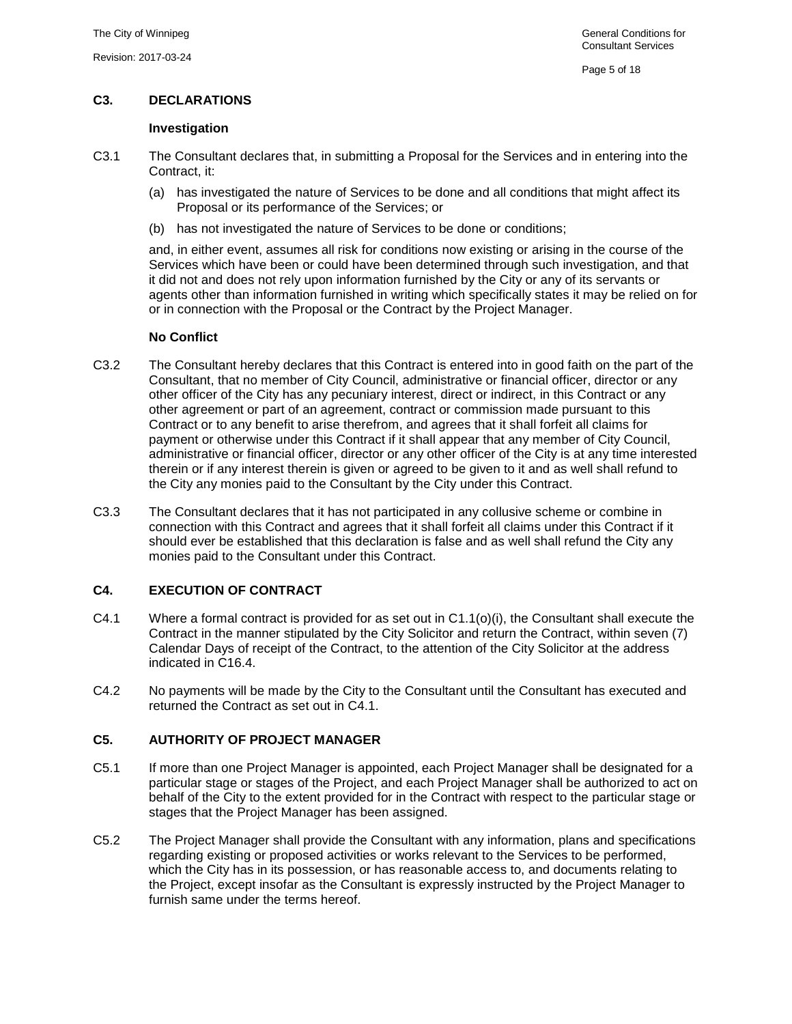# <span id="page-5-0"></span>**C3. DECLARATIONS**

#### **Investigation**

- <span id="page-5-4"></span>C3.1 The Consultant declares that, in submitting a Proposal for the Services and in entering into the Contract, it:
	- (a) has investigated the nature of Services to be done and all conditions that might affect its Proposal or its performance of the Services; or
	- (b) has not investigated the nature of Services to be done or conditions;

and, in either event, assumes all risk for conditions now existing or arising in the course of the Services which have been or could have been determined through such investigation, and that it did not and does not rely upon information furnished by the City or any of its servants or agents other than information furnished in writing which specifically states it may be relied on for or in connection with the Proposal or the Contract by the Project Manager.

#### **No Conflict**

- C3.2 The Consultant hereby declares that this Contract is entered into in good faith on the part of the Consultant, that no member of City Council, administrative or financial officer, director or any other officer of the City has any pecuniary interest, direct or indirect, in this Contract or any other agreement or part of an agreement, contract or commission made pursuant to this Contract or to any benefit to arise therefrom, and agrees that it shall forfeit all claims for payment or otherwise under this Contract if it shall appear that any member of City Council, administrative or financial officer, director or any other officer of the City is at any time interested therein or if any interest therein is given or agreed to be given to it and as well shall refund to the City any monies paid to the Consultant by the City under this Contract.
- C3.3 The Consultant declares that it has not participated in any collusive scheme or combine in connection with this Contract and agrees that it shall forfeit all claims under this Contract if it should ever be established that this declaration is false and as well shall refund the City any monies paid to the Consultant under this Contract.

# <span id="page-5-3"></span><span id="page-5-1"></span>**C4. EXECUTION OF CONTRACT**

- C4.1 Where a formal contract is provided for as set out in [C1.1\(o\)\(i\),](#page-2-0) the Consultant shall execute the Contract in the manner stipulated by the City Solicitor and return the Contract, within seven (7) Calendar Days of receipt of the Contract, to the attention of the City Solicitor at the address indicated in [C16.4.](#page-17-2)
- C4.2 No payments will be made by the City to the Consultant until the Consultant has executed and returned the Contract as set out in [C4.1.](#page-5-3)

# <span id="page-5-2"></span>**C5. AUTHORITY OF PROJECT MANAGER**

- C5.1 If more than one Project Manager is appointed, each Project Manager shall be designated for a particular stage or stages of the Project, and each Project Manager shall be authorized to act on behalf of the City to the extent provided for in the Contract with respect to the particular stage or stages that the Project Manager has been assigned.
- C5.2 The Project Manager shall provide the Consultant with any information, plans and specifications regarding existing or proposed activities or works relevant to the Services to be performed, which the City has in its possession, or has reasonable access to, and documents relating to the Project, except insofar as the Consultant is expressly instructed by the Project Manager to furnish same under the terms hereof.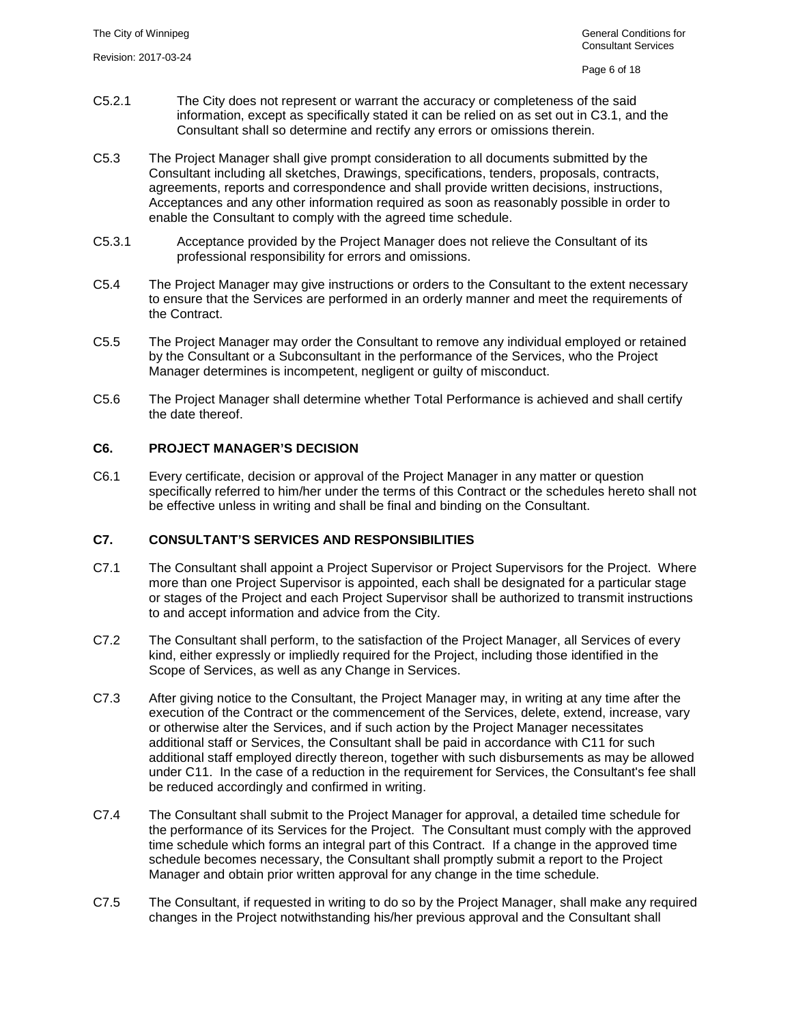- C5.2.1 The City does not represent or warrant the accuracy or completeness of the said information, except as specifically stated it can be relied on as set out in [C3.1,](#page-5-4) and the Consultant shall so determine and rectify any errors or omissions therein.
- C5.3 The Project Manager shall give prompt consideration to all documents submitted by the Consultant including all sketches, Drawings, specifications, tenders, proposals, contracts, agreements, reports and correspondence and shall provide written decisions, instructions, Acceptances and any other information required as soon as reasonably possible in order to enable the Consultant to comply with the agreed time schedule.
- C5.3.1 Acceptance provided by the Project Manager does not relieve the Consultant of its professional responsibility for errors and omissions.
- C5.4 The Project Manager may give instructions or orders to the Consultant to the extent necessary to ensure that the Services are performed in an orderly manner and meet the requirements of the Contract.
- C5.5 The Project Manager may order the Consultant to remove any individual employed or retained by the Consultant or a Subconsultant in the performance of the Services, who the Project Manager determines is incompetent, negligent or guilty of misconduct.
- C5.6 The Project Manager shall determine whether Total Performance is achieved and shall certify the date thereof.

# <span id="page-6-0"></span>**C6. PROJECT MANAGER'S DECISION**

C6.1 Every certificate, decision or approval of the Project Manager in any matter or question specifically referred to him/her under the terms of this Contract or the schedules hereto shall not be effective unless in writing and shall be final and binding on the Consultant.

# <span id="page-6-1"></span>**C7. CONSULTANT'S SERVICES AND RESPONSIBILITIES**

- C7.1 The Consultant shall appoint a Project Supervisor or Project Supervisors for the Project. Where more than one Project Supervisor is appointed, each shall be designated for a particular stage or stages of the Project and each Project Supervisor shall be authorized to transmit instructions to and accept information and advice from the City.
- C7.2 The Consultant shall perform, to the satisfaction of the Project Manager, all Services of every kind, either expressly or impliedly required for the Project, including those identified in the Scope of Services, as well as any Change in Services.
- C7.3 After giving notice to the Consultant, the Project Manager may, in writing at any time after the execution of the Contract or the commencement of the Services, delete, extend, increase, vary or otherwise alter the Services, and if such action by the Project Manager necessitates additional staff or Services, the Consultant shall be paid in accordance with [C11](#page-12-0) for such additional staff employed directly thereon, together with such disbursements as may be allowed under [C11.](#page-12-0) In the case of a reduction in the requirement for Services, the Consultant's fee shall be reduced accordingly and confirmed in writing.
- C7.4 The Consultant shall submit to the Project Manager for approval, a detailed time schedule for the performance of its Services for the Project. The Consultant must comply with the approved time schedule which forms an integral part of this Contract. If a change in the approved time schedule becomes necessary, the Consultant shall promptly submit a report to the Project Manager and obtain prior written approval for any change in the time schedule.
- C7.5 The Consultant, if requested in writing to do so by the Project Manager, shall make any required changes in the Project notwithstanding his/her previous approval and the Consultant shall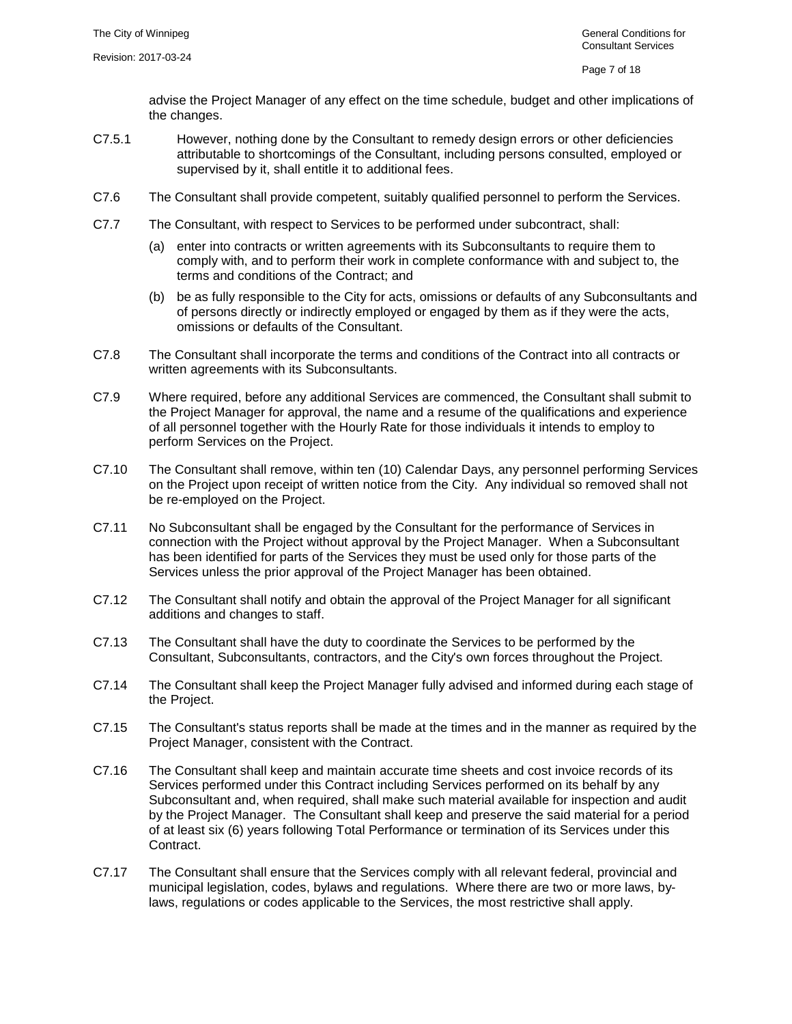advise the Project Manager of any effect on the time schedule, budget and other implications of the changes.

- C7.5.1 However, nothing done by the Consultant to remedy design errors or other deficiencies attributable to shortcomings of the Consultant, including persons consulted, employed or supervised by it, shall entitle it to additional fees.
- C7.6 The Consultant shall provide competent, suitably qualified personnel to perform the Services.
- C7.7 The Consultant, with respect to Services to be performed under subcontract, shall:
	- (a) enter into contracts or written agreements with its Subconsultants to require them to comply with, and to perform their work in complete conformance with and subject to, the terms and conditions of the Contract; and
	- (b) be as fully responsible to the City for acts, omissions or defaults of any Subconsultants and of persons directly or indirectly employed or engaged by them as if they were the acts, omissions or defaults of the Consultant.
- C7.8 The Consultant shall incorporate the terms and conditions of the Contract into all contracts or written agreements with its Subconsultants.
- C7.9 Where required, before any additional Services are commenced, the Consultant shall submit to the Project Manager for approval, the name and a resume of the qualifications and experience of all personnel together with the Hourly Rate for those individuals it intends to employ to perform Services on the Project.
- C7.10 The Consultant shall remove, within ten (10) Calendar Days, any personnel performing Services on the Project upon receipt of written notice from the City. Any individual so removed shall not be re-employed on the Project.
- <span id="page-7-0"></span>C7.11 No Subconsultant shall be engaged by the Consultant for the performance of Services in connection with the Project without approval by the Project Manager. When a Subconsultant has been identified for parts of the Services they must be used only for those parts of the Services unless the prior approval of the Project Manager has been obtained.
- C7.12 The Consultant shall notify and obtain the approval of the Project Manager for all significant additions and changes to staff.
- C7.13 The Consultant shall have the duty to coordinate the Services to be performed by the Consultant, Subconsultants, contractors, and the City's own forces throughout the Project.
- C7.14 The Consultant shall keep the Project Manager fully advised and informed during each stage of the Project.
- C7.15 The Consultant's status reports shall be made at the times and in the manner as required by the Project Manager, consistent with the Contract.
- C7.16 The Consultant shall keep and maintain accurate time sheets and cost invoice records of its Services performed under this Contract including Services performed on its behalf by any Subconsultant and, when required, shall make such material available for inspection and audit by the Project Manager. The Consultant shall keep and preserve the said material for a period of at least six (6) years following Total Performance or termination of its Services under this Contract.
- C7.17 The Consultant shall ensure that the Services comply with all relevant federal, provincial and municipal legislation, codes, bylaws and regulations. Where there are two or more laws, bylaws, regulations or codes applicable to the Services, the most restrictive shall apply.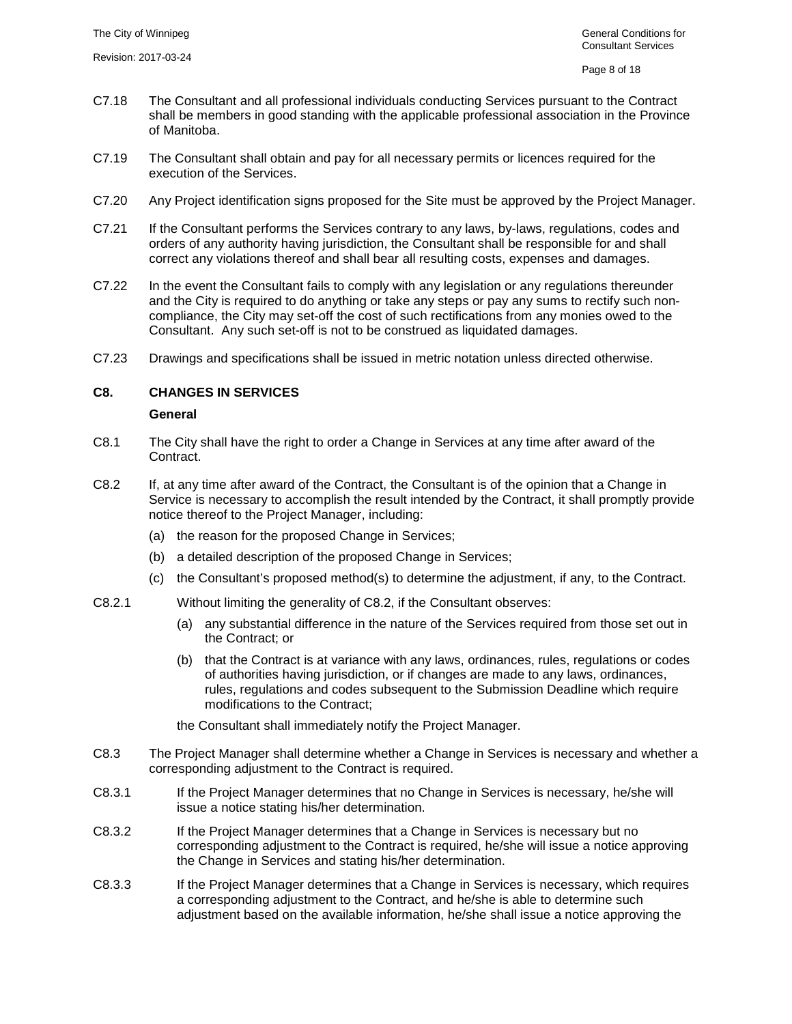- C7.18 The Consultant and all professional individuals conducting Services pursuant to the Contract shall be members in good standing with the applicable professional association in the Province of Manitoba.
- C7.19 The Consultant shall obtain and pay for all necessary permits or licences required for the execution of the Services.
- C7.20 Any Project identification signs proposed for the Site must be approved by the Project Manager.
- C7.21 If the Consultant performs the Services contrary to any laws, by-laws, regulations, codes and orders of any authority having jurisdiction, the Consultant shall be responsible for and shall correct any violations thereof and shall bear all resulting costs, expenses and damages.
- C7.22 In the event the Consultant fails to comply with any legislation or any regulations thereunder and the City is required to do anything or take any steps or pay any sums to rectify such noncompliance, the City may set-off the cost of such rectifications from any monies owed to the Consultant. Any such set-off is not to be construed as liquidated damages.
- <span id="page-8-0"></span>C7.23 Drawings and specifications shall be issued in metric notation unless directed otherwise.

#### **C8. CHANGES IN SERVICES**

#### **General**

- C8.1 The City shall have the right to order a Change in Services at any time after award of the Contract.
- <span id="page-8-1"></span>C8.2 If, at any time after award of the Contract, the Consultant is of the opinion that a Change in Service is necessary to accomplish the result intended by the Contract, it shall promptly provide notice thereof to the Project Manager, including:
	- (a) the reason for the proposed Change in Services;
	- (b) a detailed description of the proposed Change in Services;
	- (c) the Consultant's proposed method(s) to determine the adjustment, if any, to the Contract.
- C8.2.1 Without limiting the generality of [C8.2,](#page-8-1) if the Consultant observes:
	- (a) any substantial difference in the nature of the Services required from those set out in the Contract; or
	- (b) that the Contract is at variance with any laws, ordinances, rules, regulations or codes of authorities having jurisdiction, or if changes are made to any laws, ordinances, rules, regulations and codes subsequent to the Submission Deadline which require modifications to the Contract;

the Consultant shall immediately notify the Project Manager.

- C8.3 The Project Manager shall determine whether a Change in Services is necessary and whether a corresponding adjustment to the Contract is required.
- C8.3.1 If the Project Manager determines that no Change in Services is necessary, he/she will issue a notice stating his/her determination.
- C8.3.2 If the Project Manager determines that a Change in Services is necessary but no corresponding adjustment to the Contract is required, he/she will issue a notice approving the Change in Services and stating his/her determination.
- <span id="page-8-2"></span>C8.3.3 If the Project Manager determines that a Change in Services is necessary, which requires a corresponding adjustment to the Contract, and he/she is able to determine such adjustment based on the available information, he/she shall issue a notice approving the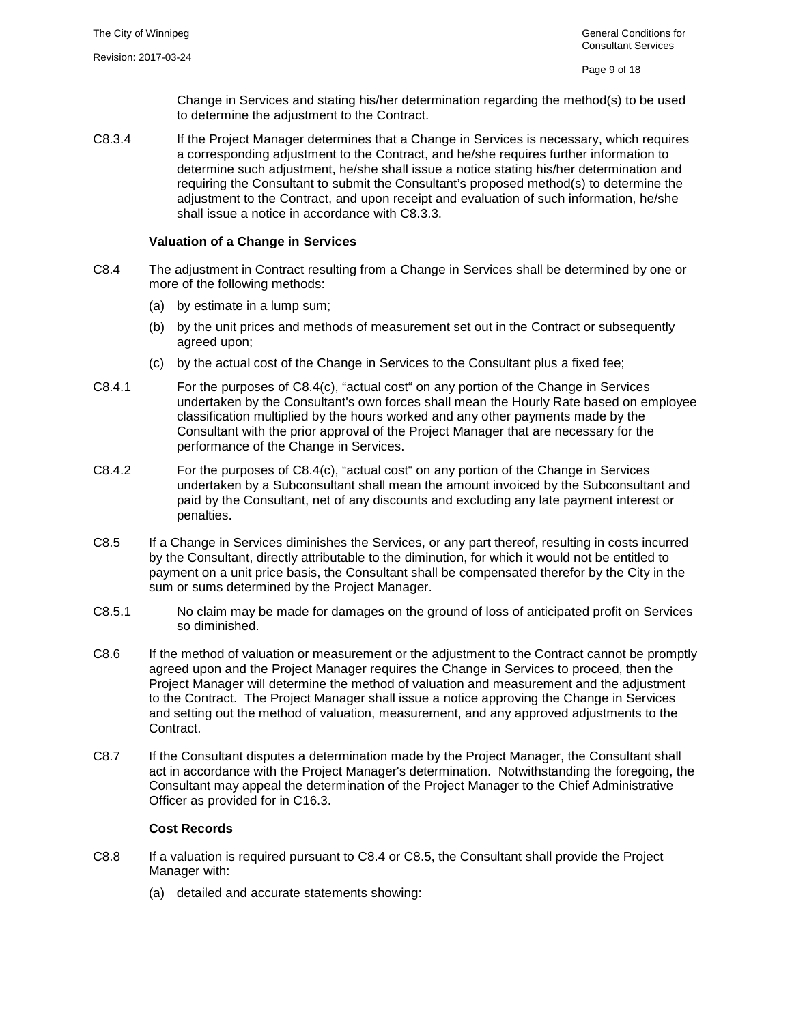Change in Services and stating his/her determination regarding the method(s) to be used to determine the adjustment to the Contract.

C8.3.4 If the Project Manager determines that a Change in Services is necessary, which requires a corresponding adjustment to the Contract, and he/she requires further information to determine such adjustment, he/she shall issue a notice stating his/her determination and requiring the Consultant to submit the Consultant's proposed method(s) to determine the adjustment to the Contract, and upon receipt and evaluation of such information, he/she shall issue a notice in accordance with [C8.3.3.](#page-8-2)

#### **Valuation of a Change in Services**

- <span id="page-9-1"></span>C8.4 The adjustment in Contract resulting from a Change in Services shall be determined by one or more of the following methods:
	- (a) by estimate in a lump sum;
	- (b) by the unit prices and methods of measurement set out in the Contract or subsequently agreed upon;
	- (c) by the actual cost of the Change in Services to the Consultant plus a fixed fee;
- <span id="page-9-0"></span>C8.4.1 For the purposes of [C8.4\(c\),](#page-9-0) "actual cost" on any portion of the Change in Services undertaken by the Consultant's own forces shall mean the Hourly Rate based on employee classification multiplied by the hours worked and any other payments made by the Consultant with the prior approval of the Project Manager that are necessary for the performance of the Change in Services.
- C8.4.2 For the purposes of [C8.4\(c\),](#page-9-0) "actual cost" on any portion of the Change in Services undertaken by a Subconsultant shall mean the amount invoiced by the Subconsultant and paid by the Consultant, net of any discounts and excluding any late payment interest or penalties.
- <span id="page-9-2"></span>C8.5 If a Change in Services diminishes the Services, or any part thereof, resulting in costs incurred by the Consultant, directly attributable to the diminution, for which it would not be entitled to payment on a unit price basis, the Consultant shall be compensated therefor by the City in the sum or sums determined by the Project Manager.
- C8.5.1 No claim may be made for damages on the ground of loss of anticipated profit on Services so diminished.
- C8.6 If the method of valuation or measurement or the adjustment to the Contract cannot be promptly agreed upon and the Project Manager requires the Change in Services to proceed, then the Project Manager will determine the method of valuation and measurement and the adjustment to the Contract. The Project Manager shall issue a notice approving the Change in Services and setting out the method of valuation, measurement, and any approved adjustments to the Contract.
- C8.7 If the Consultant disputes a determination made by the Project Manager, the Consultant shall act in accordance with the Project Manager's determination. Notwithstanding the foregoing, the Consultant may appeal the determination of the Project Manager to the Chief Administrative Officer as provided for in [C16.3.](#page-17-3)

## **Cost Records**

- C8.8 If a valuation is required pursuant to [C8.4](#page-9-1) or [C8.5,](#page-9-2) the Consultant shall provide the Project Manager with:
	- (a) detailed and accurate statements showing: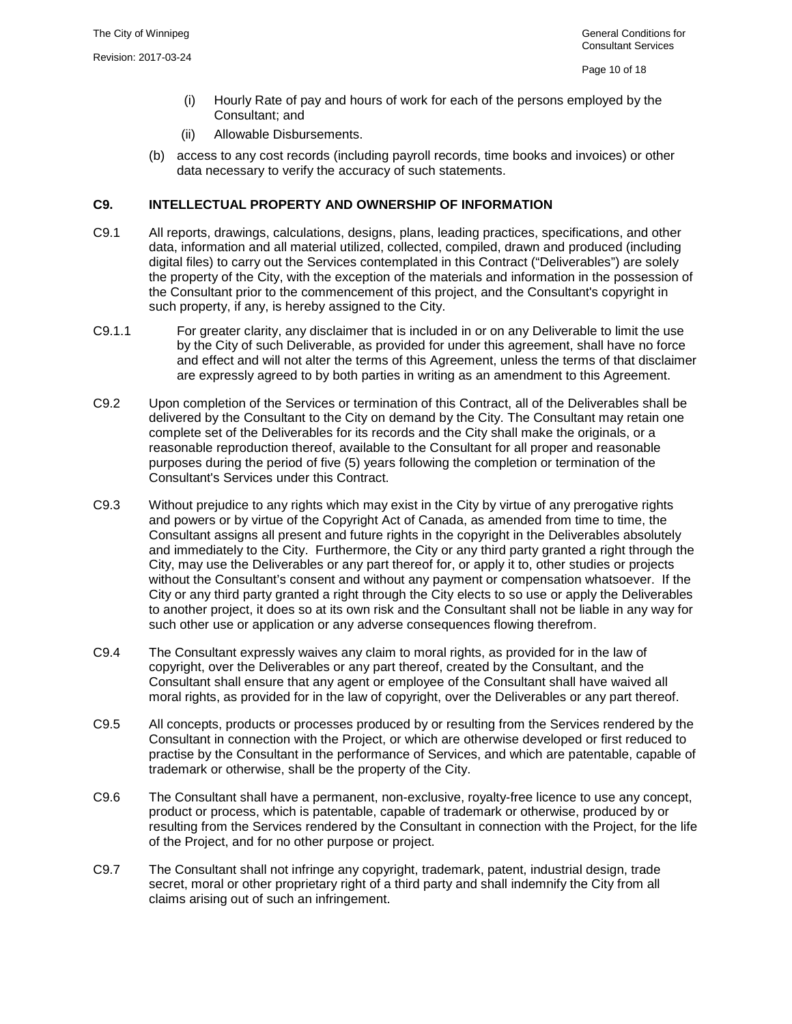- (i) Hourly Rate of pay and hours of work for each of the persons employed by the Consultant; and
- (ii) Allowable Disbursements.
- (b) access to any cost records (including payroll records, time books and invoices) or other data necessary to verify the accuracy of such statements.

#### <span id="page-10-0"></span>**C9. INTELLECTUAL PROPERTY AND OWNERSHIP OF INFORMATION**

- C9.1 All reports, drawings, calculations, designs, plans, leading practices, specifications, and other data, information and all material utilized, collected, compiled, drawn and produced (including digital files) to carry out the Services contemplated in this Contract ("Deliverables") are solely the property of the City, with the exception of the materials and information in the possession of the Consultant prior to the commencement of this project, and the Consultant's copyright in such property, if any, is hereby assigned to the City.
- C9.1.1 For greater clarity, any disclaimer that is included in or on any Deliverable to limit the use by the City of such Deliverable, as provided for under this agreement, shall have no force and effect and will not alter the terms of this Agreement, unless the terms of that disclaimer are expressly agreed to by both parties in writing as an amendment to this Agreement.
- C9.2 Upon completion of the Services or termination of this Contract, all of the Deliverables shall be delivered by the Consultant to the City on demand by the City. The Consultant may retain one complete set of the Deliverables for its records and the City shall make the originals, or a reasonable reproduction thereof, available to the Consultant for all proper and reasonable purposes during the period of five (5) years following the completion or termination of the Consultant's Services under this Contract.
- C9.3 Without prejudice to any rights which may exist in the City by virtue of any prerogative rights and powers or by virtue of the Copyright Act of Canada, as amended from time to time, the Consultant assigns all present and future rights in the copyright in the Deliverables absolutely and immediately to the City. Furthermore, the City or any third party granted a right through the City, may use the Deliverables or any part thereof for, or apply it to, other studies or projects without the Consultant's consent and without any payment or compensation whatsoever. If the City or any third party granted a right through the City elects to so use or apply the Deliverables to another project, it does so at its own risk and the Consultant shall not be liable in any way for such other use or application or any adverse consequences flowing therefrom.
- <span id="page-10-1"></span>C9.4 The Consultant expressly waives any claim to moral rights, as provided for in the law of copyright, over the Deliverables or any part thereof, created by the Consultant, and the Consultant shall ensure that any agent or employee of the Consultant shall have waived all moral rights, as provided for in the law of copyright, over the Deliverables or any part thereof.
- C9.5 All concepts, products or processes produced by or resulting from the Services rendered by the Consultant in connection with the Project, or which are otherwise developed or first reduced to practise by the Consultant in the performance of Services, and which are patentable, capable of trademark or otherwise, shall be the property of the City.
- C9.6 The Consultant shall have a permanent, non-exclusive, royalty-free licence to use any concept, product or process, which is patentable, capable of trademark or otherwise, produced by or resulting from the Services rendered by the Consultant in connection with the Project, for the life of the Project, and for no other purpose or project.
- C9.7 The Consultant shall not infringe any copyright, trademark, patent, industrial design, trade secret, moral or other proprietary right of a third party and shall indemnify the City from all claims arising out of such an infringement.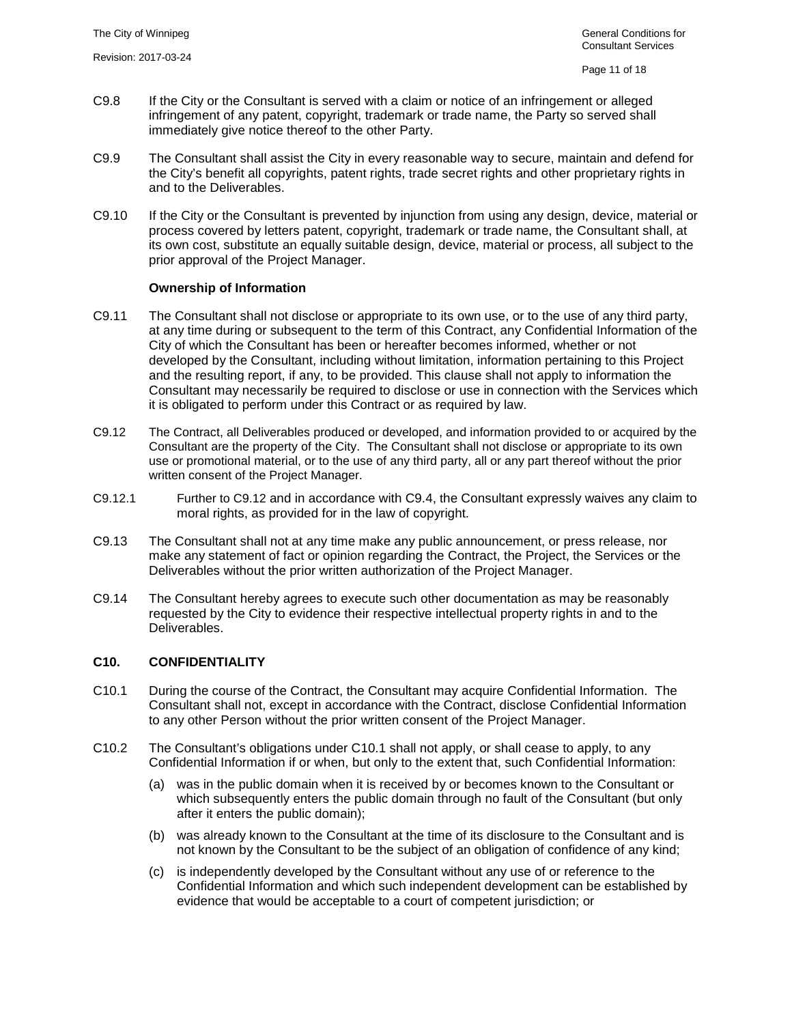- C9.8 If the City or the Consultant is served with a claim or notice of an infringement or alleged infringement of any patent, copyright, trademark or trade name, the Party so served shall immediately give notice thereof to the other Party.
- C9.9 The Consultant shall assist the City in every reasonable way to secure, maintain and defend for the City's benefit all copyrights, patent rights, trade secret rights and other proprietary rights in and to the Deliverables.
- C9.10 If the City or the Consultant is prevented by injunction from using any design, device, material or process covered by letters patent, copyright, trademark or trade name, the Consultant shall, at its own cost, substitute an equally suitable design, device, material or process, all subject to the prior approval of the Project Manager.

#### **Ownership of Information**

- C9.11 The Consultant shall not disclose or appropriate to its own use, or to the use of any third party, at any time during or subsequent to the term of this Contract, any Confidential Information of the City of which the Consultant has been or hereafter becomes informed, whether or not developed by the Consultant, including without limitation, information pertaining to this Project and the resulting report, if any, to be provided. This clause shall not apply to information the Consultant may necessarily be required to disclose or use in connection with the Services which it is obligated to perform under this Contract or as required by law.
- <span id="page-11-1"></span>C9.12 The Contract, all Deliverables produced or developed, and information provided to or acquired by the Consultant are the property of the City. The Consultant shall not disclose or appropriate to its own use or promotional material, or to the use of any third party, all or any part thereof without the prior written consent of the Project Manager.
- C9.12.1 Further to [C9.12](#page-11-1) and in accordance with [C9.4,](#page-10-1) the Consultant expressly waives any claim to moral rights, as provided for in the law of copyright.
- C9.13 The Consultant shall not at any time make any public announcement, or press release, nor make any statement of fact or opinion regarding the Contract, the Project, the Services or the Deliverables without the prior written authorization of the Project Manager.
- C9.14 The Consultant hereby agrees to execute such other documentation as may be reasonably requested by the City to evidence their respective intellectual property rights in and to the Deliverables.

#### <span id="page-11-2"></span><span id="page-11-0"></span>**C10. CONFIDENTIALITY**

- C10.1 During the course of the Contract, the Consultant may acquire Confidential Information. The Consultant shall not, except in accordance with the Contract, disclose Confidential Information to any other Person without the prior written consent of the Project Manager.
- C10.2 The Consultant's obligations under [C10.1](#page-11-2) shall not apply, or shall cease to apply, to any Confidential Information if or when, but only to the extent that, such Confidential Information:
	- (a) was in the public domain when it is received by or becomes known to the Consultant or which subsequently enters the public domain through no fault of the Consultant (but only after it enters the public domain);
	- (b) was already known to the Consultant at the time of its disclosure to the Consultant and is not known by the Consultant to be the subject of an obligation of confidence of any kind;
	- (c) is independently developed by the Consultant without any use of or reference to the Confidential Information and which such independent development can be established by evidence that would be acceptable to a court of competent jurisdiction; or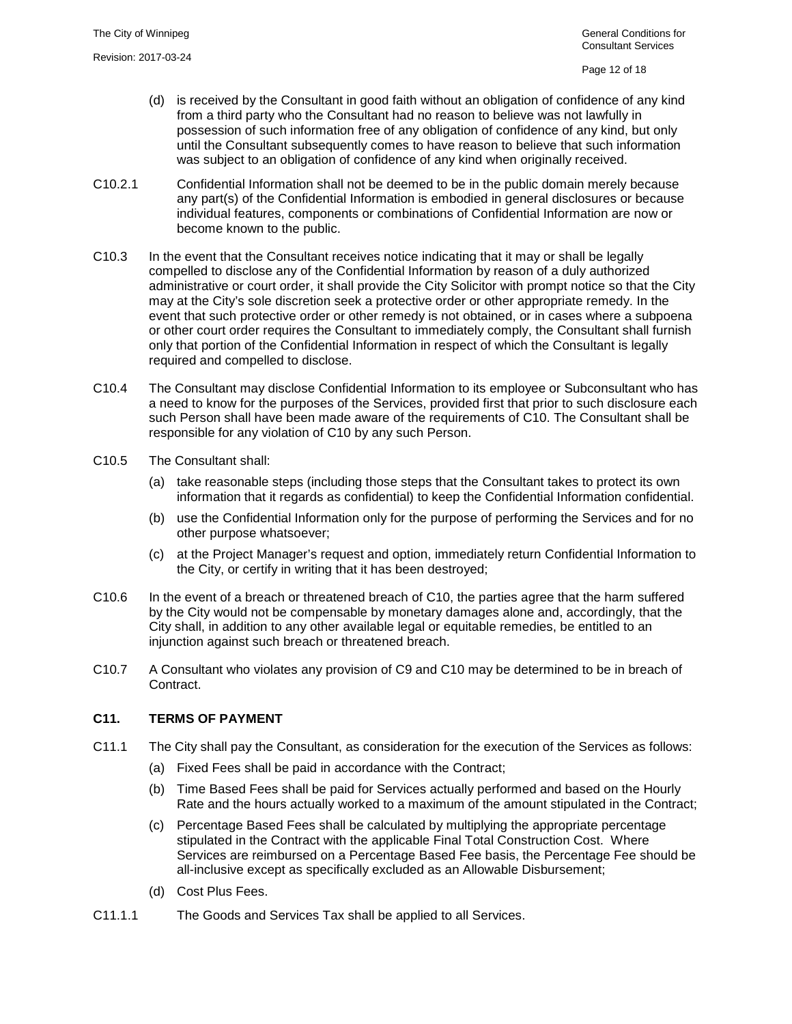- (d) is received by the Consultant in good faith without an obligation of confidence of any kind from a third party who the Consultant had no reason to believe was not lawfully in possession of such information free of any obligation of confidence of any kind, but only until the Consultant subsequently comes to have reason to believe that such information was subject to an obligation of confidence of any kind when originally received.
- C10.2.1 Confidential Information shall not be deemed to be in the public domain merely because any part(s) of the Confidential Information is embodied in general disclosures or because individual features, components or combinations of Confidential Information are now or become known to the public.
- C10.3 In the event that the Consultant receives notice indicating that it may or shall be legally compelled to disclose any of the Confidential Information by reason of a duly authorized administrative or court order, it shall provide the City Solicitor with prompt notice so that the City may at the City's sole discretion seek a protective order or other appropriate remedy. In the event that such protective order or other remedy is not obtained, or in cases where a subpoena or other court order requires the Consultant to immediately comply, the Consultant shall furnish only that portion of the Confidential Information in respect of which the Consultant is legally required and compelled to disclose.
- C10.4 The Consultant may disclose Confidential Information to its employee or Subconsultant who has a need to know for the purposes of the Services, provided first that prior to such disclosure each such Person shall have been made aware of the requirements of [C10.](#page-11-0) The Consultant shall be responsible for any violation of [C10](#page-11-0) by any such Person.
- C10.5 The Consultant shall:
	- (a) take reasonable steps (including those steps that the Consultant takes to protect its own information that it regards as confidential) to keep the Confidential Information confidential.
	- (b) use the Confidential Information only for the purpose of performing the Services and for no other purpose whatsoever;
	- (c) at the Project Manager's request and option, immediately return Confidential Information to the City, or certify in writing that it has been destroyed;
- C10.6 In the event of a breach or threatened breach of [C10,](#page-11-0) the parties agree that the harm suffered by the City would not be compensable by monetary damages alone and, accordingly, that the City shall, in addition to any other available legal or equitable remedies, be entitled to an injunction against such breach or threatened breach.
- C10.7 A Consultant who violates any provision of [C9](#page-10-0) and [C10](#page-11-0) may be determined to be in breach of Contract.

# <span id="page-12-0"></span>**C11. TERMS OF PAYMENT**

- C11.1 The City shall pay the Consultant, as consideration for the execution of the Services as follows:
	- (a) Fixed Fees shall be paid in accordance with the Contract;
	- (b) Time Based Fees shall be paid for Services actually performed and based on the Hourly Rate and the hours actually worked to a maximum of the amount stipulated in the Contract;
	- (c) Percentage Based Fees shall be calculated by multiplying the appropriate percentage stipulated in the Contract with the applicable Final Total Construction Cost. Where Services are reimbursed on a Percentage Based Fee basis, the Percentage Fee should be all-inclusive except as specifically excluded as an Allowable Disbursement;
	- (d) Cost Plus Fees.
- C11.1.1 The Goods and Services Tax shall be applied to all Services.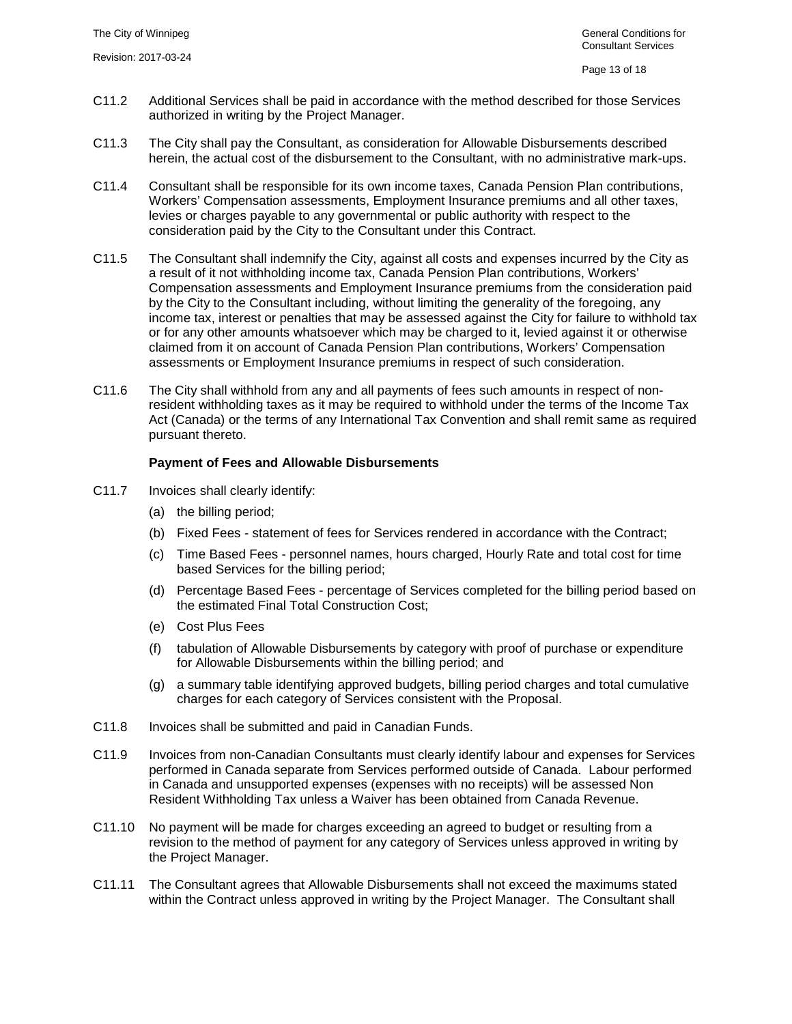- C11.2 Additional Services shall be paid in accordance with the method described for those Services authorized in writing by the Project Manager.
- C11.3 The City shall pay the Consultant, as consideration for Allowable Disbursements described herein, the actual cost of the disbursement to the Consultant, with no administrative mark-ups.
- C11.4 Consultant shall be responsible for its own income taxes, Canada Pension Plan contributions, Workers' Compensation assessments, Employment Insurance premiums and all other taxes, levies or charges payable to any governmental or public authority with respect to the consideration paid by the City to the Consultant under this Contract.
- C11.5 The Consultant shall indemnify the City, against all costs and expenses incurred by the City as a result of it not withholding income tax, Canada Pension Plan contributions, Workers' Compensation assessments and Employment Insurance premiums from the consideration paid by the City to the Consultant including, without limiting the generality of the foregoing, any income tax, interest or penalties that may be assessed against the City for failure to withhold tax or for any other amounts whatsoever which may be charged to it, levied against it or otherwise claimed from it on account of Canada Pension Plan contributions, Workers' Compensation assessments or Employment Insurance premiums in respect of such consideration.
- C11.6 The City shall withhold from any and all payments of fees such amounts in respect of nonresident withholding taxes as it may be required to withhold under the terms of the Income Tax Act (Canada) or the terms of any International Tax Convention and shall remit same as required pursuant thereto.

## **Payment of Fees and Allowable Disbursements**

- C11.7 Invoices shall clearly identify:
	- (a) the billing period;
	- (b) Fixed Fees statement of fees for Services rendered in accordance with the Contract;
	- (c) Time Based Fees personnel names, hours charged, Hourly Rate and total cost for time based Services for the billing period;
	- (d) Percentage Based Fees percentage of Services completed for the billing period based on the estimated Final Total Construction Cost;
	- (e) Cost Plus Fees
	- (f) tabulation of Allowable Disbursements by category with proof of purchase or expenditure for Allowable Disbursements within the billing period; and
	- (g) a summary table identifying approved budgets, billing period charges and total cumulative charges for each category of Services consistent with the Proposal.
- C11.8 Invoices shall be submitted and paid in Canadian Funds.
- C11.9 Invoices from non-Canadian Consultants must clearly identify labour and expenses for Services performed in Canada separate from Services performed outside of Canada. Labour performed in Canada and unsupported expenses (expenses with no receipts) will be assessed Non Resident Withholding Tax unless a Waiver has been obtained from Canada Revenue.
- C11.10 No payment will be made for charges exceeding an agreed to budget or resulting from a revision to the method of payment for any category of Services unless approved in writing by the Project Manager.
- C11.11 The Consultant agrees that Allowable Disbursements shall not exceed the maximums stated within the Contract unless approved in writing by the Project Manager. The Consultant shall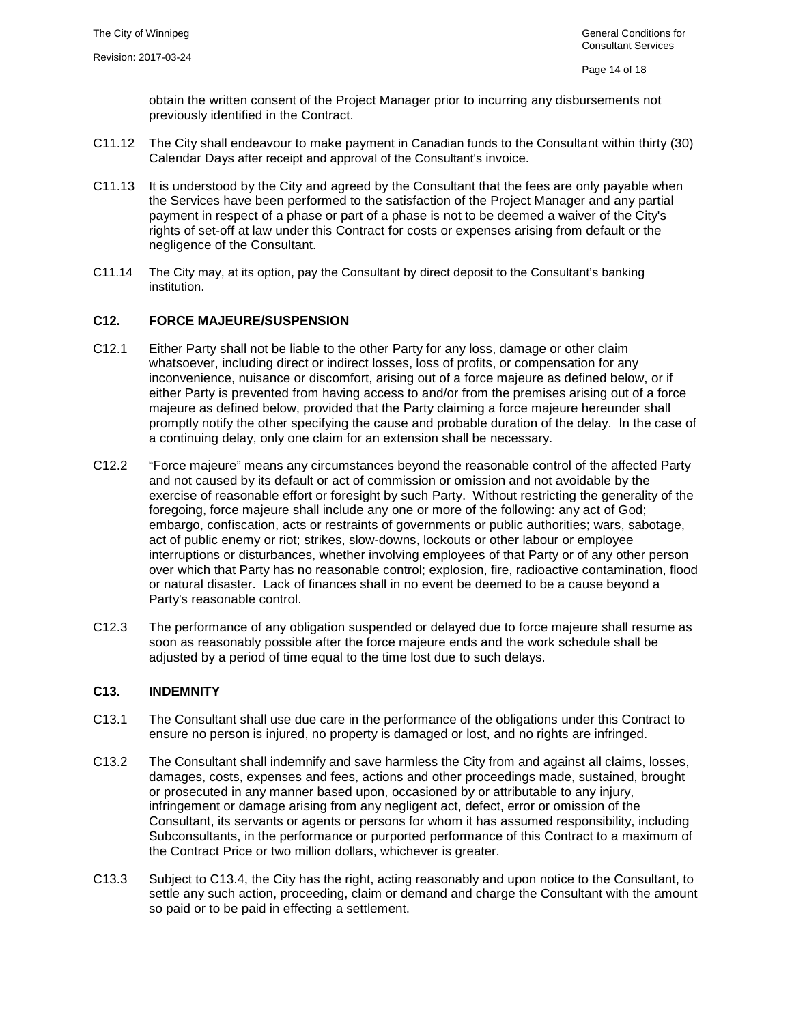obtain the written consent of the Project Manager prior to incurring any disbursements not previously identified in the Contract.

- C11.12 The City shall endeavour to make payment in Canadian funds to the Consultant within thirty (30) Calendar Days after receipt and approval of the Consultant's invoice.
- C11.13 It is understood by the City and agreed by the Consultant that the fees are only payable when the Services have been performed to the satisfaction of the Project Manager and any partial payment in respect of a phase or part of a phase is not to be deemed a waiver of the City's rights of set-off at law under this Contract for costs or expenses arising from default or the negligence of the Consultant.
- C11.14 The City may, at its option, pay the Consultant by direct deposit to the Consultant's banking institution.

# <span id="page-14-0"></span>**C12. FORCE MAJEURE/SUSPENSION**

- C12.1 Either Party shall not be liable to the other Party for any loss, damage or other claim whatsoever, including direct or indirect losses, loss of profits, or compensation for any inconvenience, nuisance or discomfort, arising out of a force majeure as defined below, or if either Party is prevented from having access to and/or from the premises arising out of a force majeure as defined below, provided that the Party claiming a force majeure hereunder shall promptly notify the other specifying the cause and probable duration of the delay. In the case of a continuing delay, only one claim for an extension shall be necessary.
- C12.2 "Force majeure" means any circumstances beyond the reasonable control of the affected Party and not caused by its default or act of commission or omission and not avoidable by the exercise of reasonable effort or foresight by such Party. Without restricting the generality of the foregoing, force majeure shall include any one or more of the following: any act of God; embargo, confiscation, acts or restraints of governments or public authorities; wars, sabotage, act of public enemy or riot; strikes, slow-downs, lockouts or other labour or employee interruptions or disturbances, whether involving employees of that Party or of any other person over which that Party has no reasonable control; explosion, fire, radioactive contamination, flood or natural disaster. Lack of finances shall in no event be deemed to be a cause beyond a Party's reasonable control.
- C12.3 The performance of any obligation suspended or delayed due to force majeure shall resume as soon as reasonably possible after the force majeure ends and the work schedule shall be adjusted by a period of time equal to the time lost due to such delays.

## <span id="page-14-1"></span>**C13. INDEMNITY**

- C13.1 The Consultant shall use due care in the performance of the obligations under this Contract to ensure no person is injured, no property is damaged or lost, and no rights are infringed.
- C13.2 The Consultant shall indemnify and save harmless the City from and against all claims, losses, damages, costs, expenses and fees, actions and other proceedings made, sustained, brought or prosecuted in any manner based upon, occasioned by or attributable to any injury, infringement or damage arising from any negligent act, defect, error or omission of the Consultant, its servants or agents or persons for whom it has assumed responsibility, including Subconsultants, in the performance or purported performance of this Contract to a maximum of the Contract Price or two million dollars, whichever is greater.
- C13.3 Subject to [C13.4,](#page-15-1) the City has the right, acting reasonably and upon notice to the Consultant, to settle any such action, proceeding, claim or demand and charge the Consultant with the amount so paid or to be paid in effecting a settlement.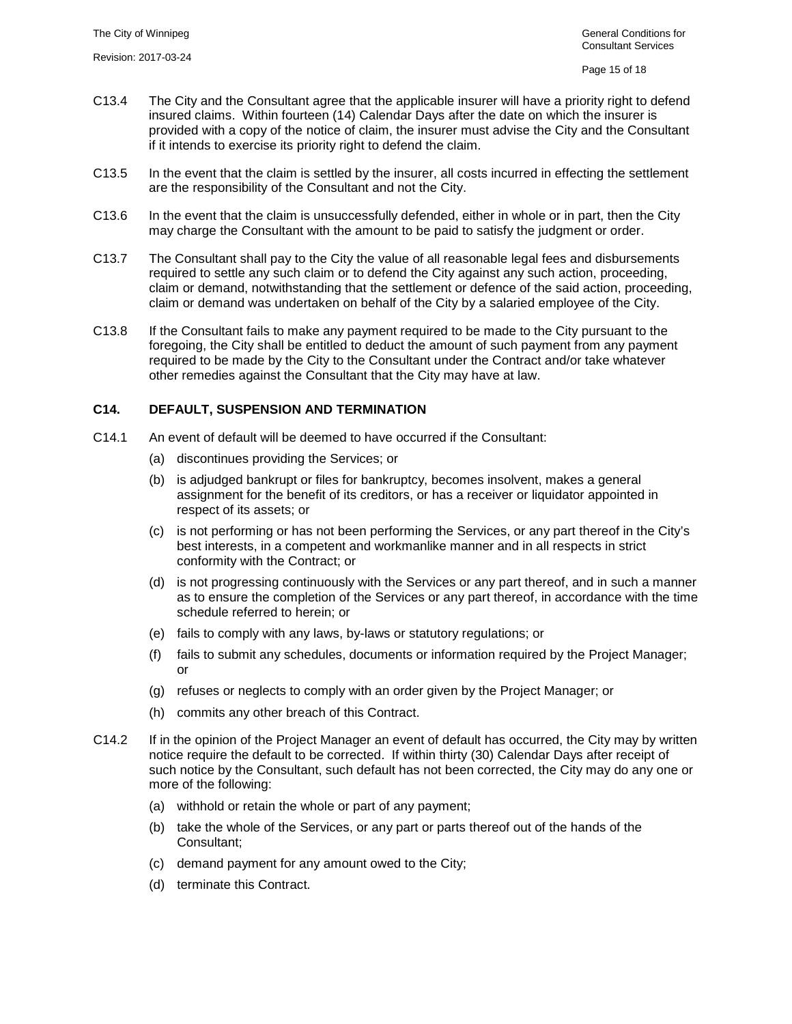- <span id="page-15-1"></span>C13.4 The City and the Consultant agree that the applicable insurer will have a priority right to defend insured claims. Within fourteen (14) Calendar Days after the date on which the insurer is provided with a copy of the notice of claim, the insurer must advise the City and the Consultant if it intends to exercise its priority right to defend the claim.
- C13.5 In the event that the claim is settled by the insurer, all costs incurred in effecting the settlement are the responsibility of the Consultant and not the City.
- C13.6 In the event that the claim is unsuccessfully defended, either in whole or in part, then the City may charge the Consultant with the amount to be paid to satisfy the judgment or order.
- C13.7 The Consultant shall pay to the City the value of all reasonable legal fees and disbursements required to settle any such claim or to defend the City against any such action, proceeding, claim or demand, notwithstanding that the settlement or defence of the said action, proceeding, claim or demand was undertaken on behalf of the City by a salaried employee of the City.
- C13.8 If the Consultant fails to make any payment required to be made to the City pursuant to the foregoing, the City shall be entitled to deduct the amount of such payment from any payment required to be made by the City to the Consultant under the Contract and/or take whatever other remedies against the Consultant that the City may have at law.

#### <span id="page-15-0"></span>**C14. DEFAULT, SUSPENSION AND TERMINATION**

- C14.1 An event of default will be deemed to have occurred if the Consultant:
	- (a) discontinues providing the Services; or
	- (b) is adjudged bankrupt or files for bankruptcy, becomes insolvent, makes a general assignment for the benefit of its creditors, or has a receiver or liquidator appointed in respect of its assets; or
	- (c) is not performing or has not been performing the Services, or any part thereof in the City's best interests, in a competent and workmanlike manner and in all respects in strict conformity with the Contract; or
	- (d) is not progressing continuously with the Services or any part thereof, and in such a manner as to ensure the completion of the Services or any part thereof, in accordance with the time schedule referred to herein; or
	- (e) fails to comply with any laws, by-laws or statutory regulations; or
	- (f) fails to submit any schedules, documents or information required by the Project Manager; or
	- (g) refuses or neglects to comply with an order given by the Project Manager; or
	- (h) commits any other breach of this Contract.
- <span id="page-15-2"></span>C14.2 If in the opinion of the Project Manager an event of default has occurred, the City may by written notice require the default to be corrected. If within thirty (30) Calendar Days after receipt of such notice by the Consultant, such default has not been corrected, the City may do any one or more of the following:
	- (a) withhold or retain the whole or part of any payment;
	- (b) take the whole of the Services, or any part or parts thereof out of the hands of the Consultant;
	- (c) demand payment for any amount owed to the City;
	- (d) terminate this Contract.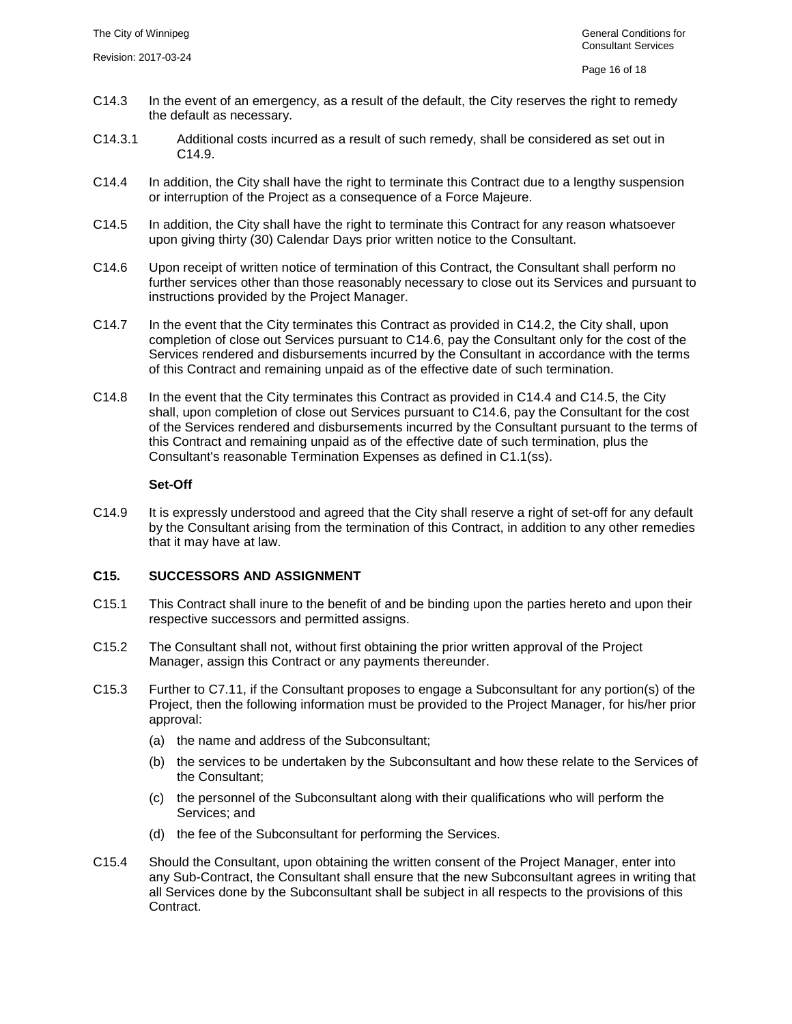- C14.3 In the event of an emergency, as a result of the default, the City reserves the right to remedy the default as necessary.
- C14.3.1 Additional costs incurred as a result of such remedy, shall be considered as set out in [C14.9.](#page-16-1)
- <span id="page-16-3"></span>C14.4 In addition, the City shall have the right to terminate this Contract due to a lengthy suspension or interruption of the Project as a consequence of a Force Majeure.
- <span id="page-16-4"></span>C14.5 In addition, the City shall have the right to terminate this Contract for any reason whatsoever upon giving thirty (30) Calendar Days prior written notice to the Consultant.
- <span id="page-16-2"></span>C14.6 Upon receipt of written notice of termination of this Contract, the Consultant shall perform no further services other than those reasonably necessary to close out its Services and pursuant to instructions provided by the Project Manager.
- C14.7 In the event that the City terminates this Contract as provided in [C14.2,](#page-15-2) the City shall, upon completion of close out Services pursuant to [C14.6,](#page-16-2) pay the Consultant only for the cost of the Services rendered and disbursements incurred by the Consultant in accordance with the terms of this Contract and remaining unpaid as of the effective date of such termination.
- C14.8 In the event that the City terminates this Contract as provided in [C14.4](#page-16-3) and [C14.5,](#page-16-4) the City shall, upon completion of close out Services pursuant to [C14.6,](#page-16-2) pay the Consultant for the cost of the Services rendered and disbursements incurred by the Consultant pursuant to the terms of this Contract and remaining unpaid as of the effective date of such termination, plus the Consultant's reasonable Termination Expenses as defined in [C1.1\(ss\).](#page-4-1)

#### **Set-Off**

<span id="page-16-1"></span>C14.9 It is expressly understood and agreed that the City shall reserve a right of set-off for any default by the Consultant arising from the termination of this Contract, in addition to any other remedies that it may have at law.

# <span id="page-16-0"></span>**C15. SUCCESSORS AND ASSIGNMENT**

- C15.1 This Contract shall inure to the benefit of and be binding upon the parties hereto and upon their respective successors and permitted assigns.
- C15.2 The Consultant shall not, without first obtaining the prior written approval of the Project Manager, assign this Contract or any payments thereunder.
- <span id="page-16-5"></span>C15.3 Further to [C7.11,](#page-7-0) if the Consultant proposes to engage a Subconsultant for any portion(s) of the Project, then the following information must be provided to the Project Manager, for his/her prior approval:
	- (a) the name and address of the Subconsultant;
	- (b) the services to be undertaken by the Subconsultant and how these relate to the Services of the Consultant;
	- (c) the personnel of the Subconsultant along with their qualifications who will perform the Services; and
	- (d) the fee of the Subconsultant for performing the Services.
- C15.4 Should the Consultant, upon obtaining the written consent of the Project Manager, enter into any Sub-Contract, the Consultant shall ensure that the new Subconsultant agrees in writing that all Services done by the Subconsultant shall be subject in all respects to the provisions of this Contract.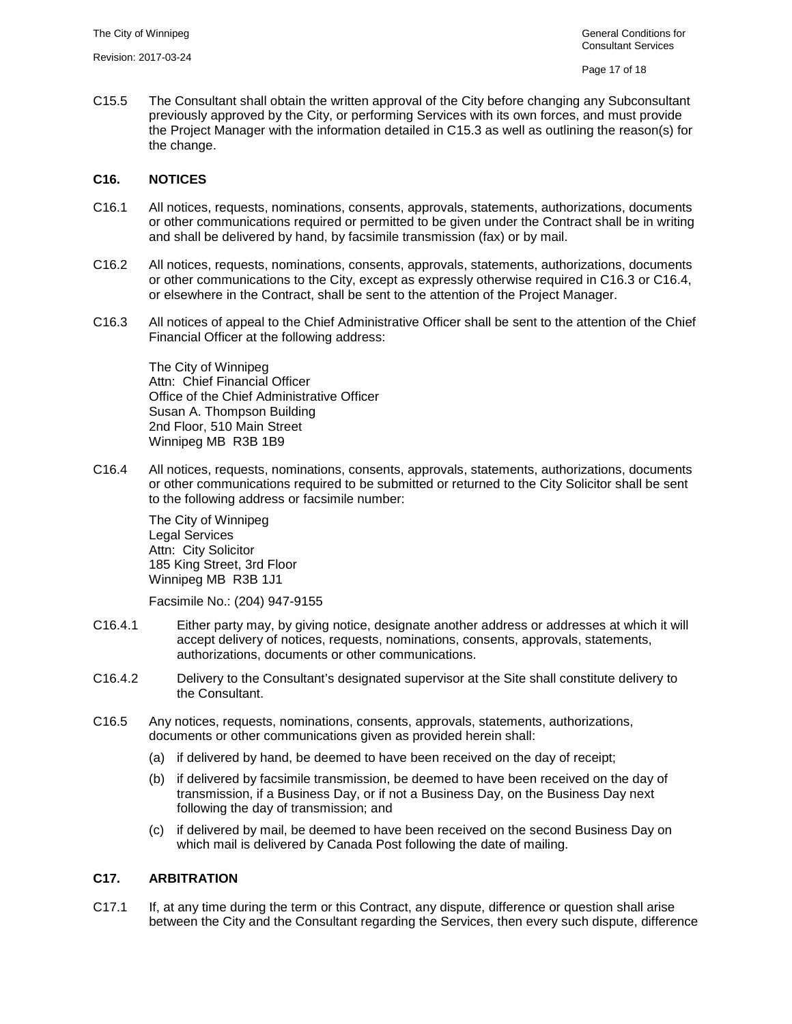C15.5 The Consultant shall obtain the written approval of the City before changing any Subconsultant previously approved by the City, or performing Services with its own forces, and must provide the Project Manager with the information detailed in [C15.3](#page-16-5) as well as outlining the reason(s) for the change.

#### <span id="page-17-0"></span>**C16. NOTICES**

- C16.1 All notices, requests, nominations, consents, approvals, statements, authorizations, documents or other communications required or permitted to be given under the Contract shall be in writing and shall be delivered by hand, by facsimile transmission (fax) or by mail.
- C16.2 All notices, requests, nominations, consents, approvals, statements, authorizations, documents or other communications to the City, except as expressly otherwise required in [C16.3](#page-17-3) or [C16.4,](#page-17-2) or elsewhere in the Contract, shall be sent to the attention of the Project Manager.
- <span id="page-17-3"></span>C16.3 All notices of appeal to the Chief Administrative Officer shall be sent to the attention of the Chief Financial Officer at the following address:

The City of Winnipeg Attn: Chief Financial Officer Office of the Chief Administrative Officer Susan A. Thompson Building 2nd Floor, 510 Main Street Winnipeg MB R3B 1B9

<span id="page-17-2"></span>C16.4 All notices, requests, nominations, consents, approvals, statements, authorizations, documents or other communications required to be submitted or returned to the City Solicitor shall be sent to the following address or facsimile number:

The City of Winnipeg Legal Services Attn: City Solicitor 185 King Street, 3rd Floor Winnipeg MB R3B 1J1

Facsimile No.: (204) 947-9155

- C16.4.1 Either party may, by giving notice, designate another address or addresses at which it will accept delivery of notices, requests, nominations, consents, approvals, statements, authorizations, documents or other communications.
- C16.4.2 Delivery to the Consultant's designated supervisor at the Site shall constitute delivery to the Consultant.
- C16.5 Any notices, requests, nominations, consents, approvals, statements, authorizations, documents or other communications given as provided herein shall:
	- (a) if delivered by hand, be deemed to have been received on the day of receipt;
	- (b) if delivered by facsimile transmission, be deemed to have been received on the day of transmission, if a Business Day, or if not a Business Day, on the Business Day next following the day of transmission; and
	- (c) if delivered by mail, be deemed to have been received on the second Business Day on which mail is delivered by Canada Post following the date of mailing.

## <span id="page-17-1"></span>**C17. ARBITRATION**

C17.1 If, at any time during the term or this Contract, any dispute, difference or question shall arise between the City and the Consultant regarding the Services, then every such dispute, difference